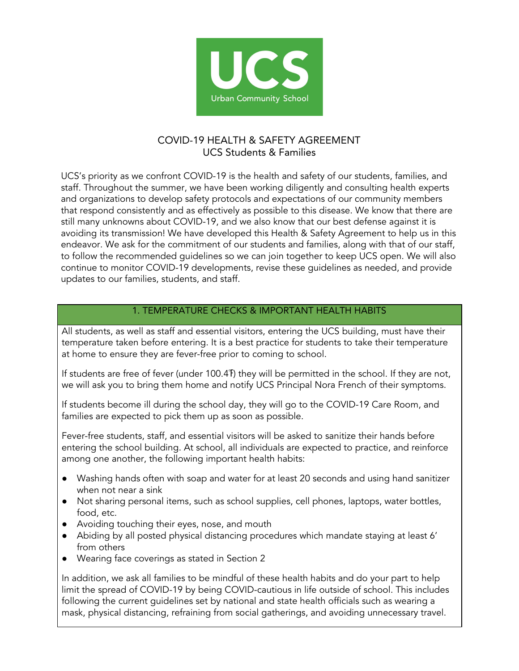

# COVID-19 HEALTH & SAFETY AGREEMENT UCS Students & Families

UCS's priority as we confront COVID-19 is the health and safety of our students, families, and staff. Throughout the summer, we have been working diligently and consulting health experts and organizations to develop safety protocols and expectations of our community members that respond consistently and as effectively as possible to this disease. We know that there are still many unknowns about COVID-19, and we also know that our best defense against it is avoiding its transmission! We have developed this Health & Safety Agreement to help us in this endeavor. We ask for the commitment of our students and families, along with that of our staff, to follow the recommended guidelines so we can join together to keep UCS open. We will also continue to monitor COVID-19 developments, revise these guidelines as needed, and provide updates to our families, students, and staff.

# 1. TEMPERATURE CHECKS & IMPORTANT HEALTH HABITS

All students, as well as staff and essential visitors, entering the UCS building, must have their temperature taken before entering. It is a best practice for students to take their temperature at home to ensure they are fever-free prior to coming to school.

If students are free of fever (under 100.4℉) they will be permitted in the school. If they are not, we will ask you to bring them home and notify UCS Principal Nora French of their symptoms.

If students become ill during the school day, they will go to the COVID-19 Care Room, and families are expected to pick them up as soon as possible.

Fever-free students, staff, and essential visitors will be asked to sanitize their hands before entering the school building. At school, all individuals are expected to practice, and reinforce among one another, the following important health habits:

- Washing hands often with soap and water for at least 20 seconds and using hand sanitizer when not near a sink
- Not sharing personal items, such as school supplies, cell phones, laptops, water bottles, food, etc.
- Avoiding touching their eyes, nose, and mouth
- Abiding by all posted physical distancing procedures which mandate staying at least 6' from others
- Wearing face coverings as stated in Section 2

In addition, we ask all families to be mindful of these health habits and do your part to help limit the spread of COVID-19 by being COVID-cautious in life outside of school. This includes following the current guidelines set by national and state health officials such as wearing a mask, physical distancing, refraining from social gatherings, and avoiding unnecessary travel.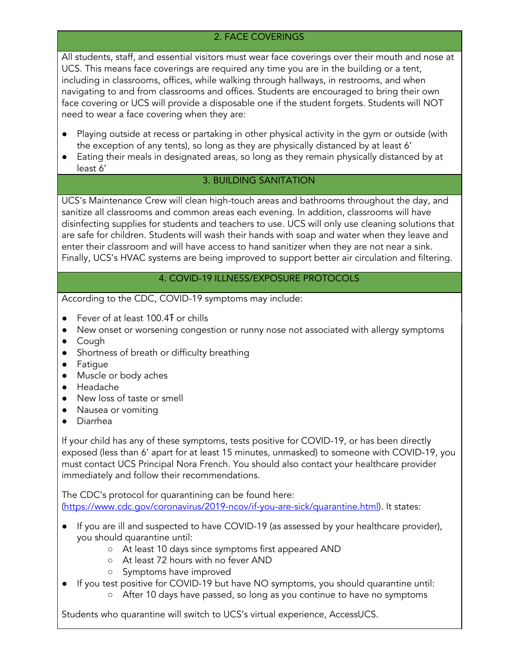# 2. FACE COVERINGS

All students, staff, and essential visitors must wear face coverings over their mouth and nose at UCS. This means face coverings are required any time you are in the building or a tent, including in classrooms, offices, while walking through hallways, in restrooms, and when navigating to and from classrooms and offices. Students are encouraged to bring their own face covering or UCS will provide a disposable one if the student forgets. Students will NOT need to wear a face covering when they are:

- Playing outside at recess or partaking in other physical activity in the gym or outside (with the exception of any tents), so long as they are physically distanced by at least 6'
- Eating their meals in designated areas, so long as they remain physically distanced by at least 6'

# 3. BUILDING SANITATION

UCS's Maintenance Crew will clean high-touch areas and bathrooms throughout the day, and sanitize all classrooms and common areas each evening. In addition, classrooms will have disinfecting supplies for students and teachers to use. UCS will only use cleaning solutions that are safe for children. Students will wash their hands with soap and water when they leave and enter their classroom and will have access to hand sanitizer when they are not near a sink. Finally, UCS's HVAC systems are being improved to support better air circulation and filtering.

#### 4. COVID-19 ILLNESS/EXPOSURE PROTOCOLS

According to the CDC, COVID-19 symptoms may include:

- Fever of at least 100.4 For chills
- New onset or worsening congestion or runny nose not associated with allergy symptoms
- Cough
- Shortness of breath or difficulty breathing
- Fatigue
- Muscle or body aches
- Headache
- New loss of taste or smell
- Nausea or vomiting
- Diarrhea

If your child has any of these symptoms, tests positive for COVID-19, or has been directly exposed (less than 6' apart for at least 15 minutes, unmasked) to someone with COVID-19, you must contact UCS Principal Nora French. You should also contact your healthcare provider immediately and follow their recommendations.

The CDC's protocol for quarantining can be found here: ([https://www.cdc.gov/coronavirus/2019-ncov/if-you-are-sick/quarantine.html\)](https://www.cdc.gov/coronavirus/2019-ncov/if-you-are-sick/quarantine.html). It states:

- If you are ill and suspected to have COVID-19 (as assessed by your healthcare provider), you should quarantine until:
	- At least 10 days since symptoms first appeared AND
	- At least 72 hours with no fever AND
	- Symptoms have improved
- If you test positive for COVID-19 but have NO symptoms, you should quarantine until:
	- After 10 days have passed, so long as you continue to have no symptoms

Students who quarantine will switch to UCS's virtual experience, AccessUCS.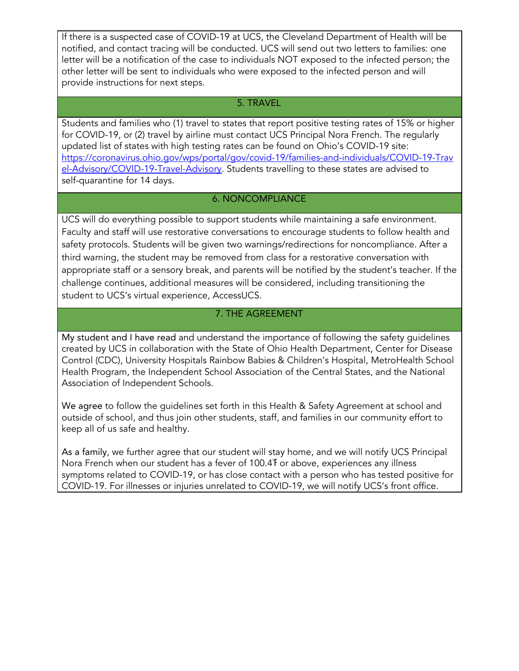If there is a suspected case of COVID-19 at UCS, the Cleveland Department of Health will be notified, and contact tracing will be conducted. UCS will send out two letters to families: one letter will be a notification of the case to individuals NOT exposed to the infected person; the other letter will be sent to individuals who were exposed to the infected person and will provide instructions for next steps.

#### 5. TRAVEL

Students and families who (1) travel to states that report positive testing rates of 15% or higher for COVID-19, or (2) travel by airline must contact UCS Principal Nora French. The regularly updated list of states with high testing rates can be found on Ohio's COVID-19 site: [https://coronavirus.ohio.gov/wps/portal/gov/covid-19/families-and-individuals/COVID-19-Trav](https://coronavirus.ohio.gov/wps/portal/gov/covid-19/families-and-individuals/COVID-19-Travel-Advisory/COVID-19-Travel-Advisory) [el-Advisory/COVID-19-Travel-Advisory.](https://coronavirus.ohio.gov/wps/portal/gov/covid-19/families-and-individuals/COVID-19-Travel-Advisory/COVID-19-Travel-Advisory) Students travelling to these states are advised to self-quarantine for 14 days.

#### 6. NONCOMPLIANCE

UCS will do everything possible to support students while maintaining a safe environment. Faculty and staff will use restorative conversations to encourage students to follow health and safety protocols. Students will be given two warnings/redirections for noncompliance. After a third warning, the student may be removed from class for a restorative conversation with appropriate staff or a sensory break, and parents will be notified by the student's teacher. If the challenge continues, additional measures will be considered, including transitioning the student to UCS's virtual experience, AccessUCS.

# 7. THE AGREEMENT

My student and I have read and understand the importance of following the safety guidelines created by UCS in collaboration with the State of Ohio Health Department, Center for Disease Control (CDC), University Hospitals Rainbow Babies & Children's Hospital, MetroHealth School Health Program, the Independent School Association of the Central States, and the National Association of Independent Schools.

We agree to follow the guidelines set forth in this Health & Safety Agreement at school and outside of school, and thus join other students, staff, and families in our community effort to keep all of us safe and healthy.

As a family, we further agree that our student will stay home, and we will notify UCS Principal Nora French when our student has a fever of 100.4 For above, experiences any illness symptoms related to COVID-19, or has close contact with a person who has tested positive for COVID-19. For illnesses or injuries unrelated to COVID-19, we will notify UCS's front office.